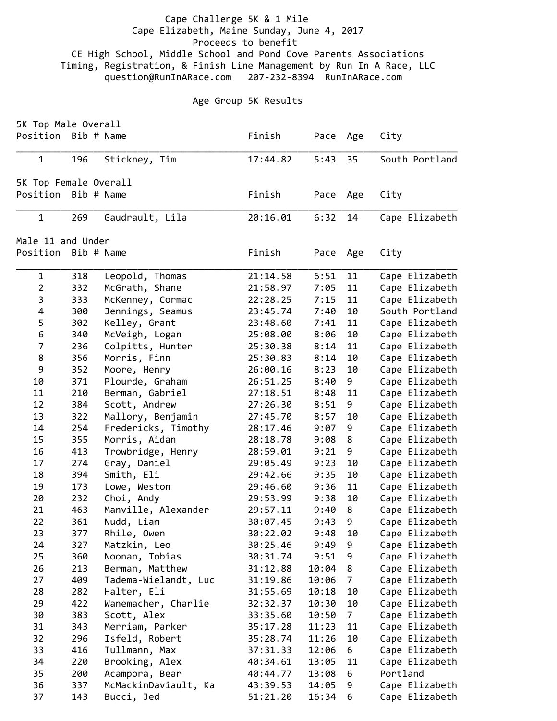## Cape Challenge 5K & 1 Mile Cape Elizabeth, Maine Sunday, June 4, 2017 Proceeds to benefit CE High School, Middle School and Pond Cove Parents Associations Timing, Registration, & Finish Line Management by Run In A Race, LLC question@RunInARace.com 207‐232‐8394 RunInARace.com

## Age Group 5K Results

| 5K Top Male Overall   |     |                      |          |       |                |                |
|-----------------------|-----|----------------------|----------|-------|----------------|----------------|
| Position Bib # Name   |     |                      | Finish   | Pace  | Age            | City           |
| $\mathbf{1}$          | 196 | Stickney, Tim        | 17:44.82 | 5:43  | 35             | South Portland |
| 5K Top Female Overall |     |                      |          |       |                |                |
| Position Bib # Name   |     |                      | Finish   | Pace  | Age            | City           |
| $\mathbf{1}$          | 269 | Gaudrault, Lila      | 20:16.01 | 6:32  | 14             | Cape Elizabeth |
| Male 11 and Under     |     |                      |          |       |                |                |
| Position              |     | Bib # Name           | Finish   | Pace  | Age            | City           |
| $\mathbf{1}$          | 318 | Leopold, Thomas      | 21:14.58 | 6:51  | 11             | Cape Elizabeth |
| $\overline{2}$        | 332 | McGrath, Shane       | 21:58.97 | 7:05  | 11             | Cape Elizabeth |
| 3                     | 333 | McKenney, Cormac     | 22:28.25 | 7:15  | 11             | Cape Elizabeth |
| 4                     | 300 | Jennings, Seamus     | 23:45.74 | 7:40  | 10             | South Portland |
| 5                     | 302 | Kelley, Grant        | 23:48.60 | 7:41  | 11             | Cape Elizabeth |
| 6                     | 340 | McVeigh, Logan       | 25:08.00 | 8:06  | 10             | Cape Elizabeth |
| $\overline{7}$        | 236 | Colpitts, Hunter     | 25:30.38 | 8:14  | 11             | Cape Elizabeth |
| 8                     | 356 | Morris, Finn         | 25:30.83 | 8:14  | 10             | Cape Elizabeth |
| 9                     | 352 | Moore, Henry         | 26:00.16 | 8:23  | 10             | Cape Elizabeth |
| 10                    | 371 | Plourde, Graham      | 26:51.25 | 8:40  | 9              | Cape Elizabeth |
| 11                    | 210 | Berman, Gabriel      | 27:18.51 | 8:48  | 11             | Cape Elizabeth |
| 12                    | 384 | Scott, Andrew        | 27:26.30 | 8:51  | 9              | Cape Elizabeth |
| 13                    | 322 | Mallory, Benjamin    | 27:45.70 | 8:57  | 10             | Cape Elizabeth |
| 14                    | 254 | Fredericks, Timothy  | 28:17.46 | 9:07  | 9              | Cape Elizabeth |
| 15                    | 355 | Morris, Aidan        | 28:18.78 | 9:08  | 8              | Cape Elizabeth |
| 16                    | 413 | Trowbridge, Henry    | 28:59.01 | 9:21  | 9              | Cape Elizabeth |
| 17                    | 274 | Gray, Daniel         | 29:05.49 | 9:23  | 10             | Cape Elizabeth |
| 18                    | 394 | Smith, Eli           | 29:42.66 | 9:35  | 10             | Cape Elizabeth |
| 19                    | 173 | Lowe, Weston         | 29:46.60 | 9:36  | 11             | Cape Elizabeth |
| 20                    | 232 | Choi, Andy           | 29:53.99 | 9:38  | 10             | Cape Elizabeth |
| 21                    | 463 | Manville, Alexander  | 29:57.11 | 9:40  | 8              | Cape Elizabeth |
| 22                    | 361 | Nudd, Liam           | 30:07.45 | 9:43  | 9              | Cape Elizabeth |
| 23                    | 377 | Rhile, Owen          | 30:22.02 | 9:48  | 10             | Cape Elizabeth |
| 24                    | 327 | Matzkin, Leo         | 30:25.46 | 9:49  | 9              | Cape Elizabeth |
| 25                    | 360 | Noonan, Tobias       | 30:31.74 | 9:51  | 9              | Cape Elizabeth |
| 26                    | 213 | Berman, Matthew      | 31:12.88 | 10:04 | 8              | Cape Elizabeth |
| 27                    | 409 | Tadema-Wielandt, Luc | 31:19.86 | 10:06 | $\overline{7}$ | Cape Elizabeth |
| 28                    | 282 | Halter, Eli          | 31:55.69 | 10:18 | 10             | Cape Elizabeth |
| 29                    | 422 | Wanemacher, Charlie  | 32:32.37 | 10:30 | 10             | Cape Elizabeth |
| 30                    | 383 | Scott, Alex          | 33:35.60 | 10:50 | 7 <sup>7</sup> | Cape Elizabeth |
| 31                    | 343 | Merriam, Parker      | 35:17.28 | 11:23 | 11             | Cape Elizabeth |
| 32                    | 296 | Isfeld, Robert       | 35:28.74 | 11:26 | 10             | Cape Elizabeth |
| 33                    | 416 | Tullmann, Max        | 37:31.33 | 12:06 | 6              | Cape Elizabeth |
| 34                    | 220 | Brooking, Alex       | 40:34.61 | 13:05 | 11             | Cape Elizabeth |
| 35                    | 200 | Acampora, Bear       | 40:44.77 | 13:08 | 6              | Portland       |
| 36                    | 337 | McMackinDaviault, Ka | 43:39.53 | 14:05 | 9              | Cape Elizabeth |
| 37                    | 143 | Bucci, Jed           | 51:21.20 | 16:34 | 6              | Cape Elizabeth |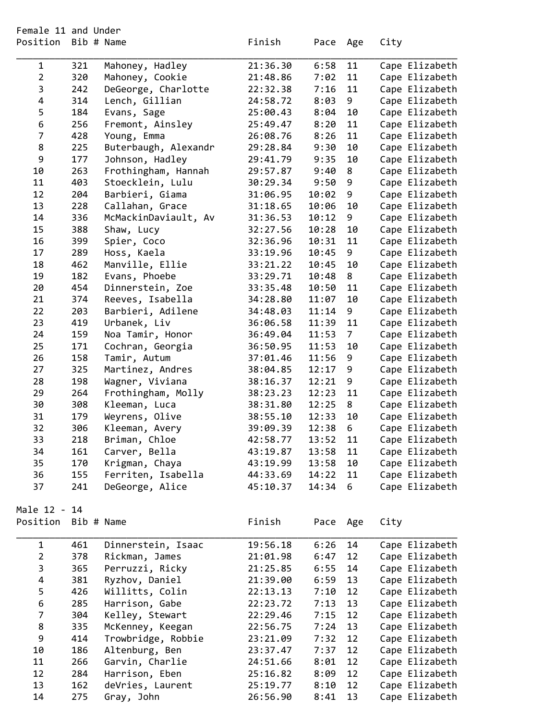| Position                | Bib # Name |                      | Finish   | Pace  | Age            | City           |
|-------------------------|------------|----------------------|----------|-------|----------------|----------------|
| 1                       | 321        | Mahoney, Hadley      | 21:36.30 | 6:58  | 11             | Cape Elizabeth |
| $\overline{2}$          | 320        | Mahoney, Cookie      | 21:48.86 | 7:02  | 11             | Cape Elizabeth |
| 3                       | 242        | DeGeorge, Charlotte  | 22:32.38 | 7:16  | 11             | Cape Elizabeth |
| 4                       | 314        | Lench, Gillian       | 24:58.72 | 8:03  | 9              | Cape Elizabeth |
| 5                       | 184        | Evans, Sage          | 25:00.43 | 8:04  | 10             | Cape Elizabeth |
| 6                       | 256        | Fremont, Ainsley     | 25:49.47 | 8:20  | 11             | Cape Elizabeth |
| $\overline{7}$          | 428        | Young, Emma          | 26:08.76 | 8:26  | 11             | Cape Elizabeth |
| 8                       | 225        | Buterbaugh, Alexandr | 29:28.84 | 9:30  | 10             | Cape Elizabeth |
| 9                       | 177        | Johnson, Hadley      | 29:41.79 | 9:35  | 10             | Cape Elizabeth |
| 10                      | 263        | Frothingham, Hannah  | 29:57.87 | 9:40  | 8              | Cape Elizabeth |
| 11                      | 403        | Stoecklein, Lulu     | 30:29.34 | 9:50  | 9              | Cape Elizabeth |
| 12                      | 204        | Barbieri, Giama      | 31:06.95 | 10:02 | 9              | Cape Elizabeth |
| 13                      | 228        | Callahan, Grace      | 31:18.65 | 10:06 | 10             | Cape Elizabeth |
| 14                      | 336        | McMackinDaviault, Av | 31:36.53 | 10:12 | 9              | Cape Elizabeth |
| 15                      | 388        | Shaw, Lucy           | 32:27.56 | 10:28 | 10             | Cape Elizabeth |
| 16                      | 399        | Spier, Coco          | 32:36.96 | 10:31 | 11             | Cape Elizabeth |
| 17                      | 289        | Hoss, Kaela          | 33:19.96 | 10:45 | 9              | Cape Elizabeth |
| 18                      | 462        | Manville, Ellie      | 33:21.22 | 10:45 | 10             | Cape Elizabeth |
| 19                      | 182        | Evans, Phoebe        | 33:29.71 | 10:48 | 8              | Cape Elizabeth |
| 20                      | 454        | Dinnerstein, Zoe     | 33:35.48 | 10:50 | 11             | Cape Elizabeth |
| 21                      | 374        | Reeves, Isabella     | 34:28.80 | 11:07 | 10             | Cape Elizabeth |
| 22                      | 203        | Barbieri, Adilene    |          | 11:14 | 9              | Cape Elizabeth |
|                         |            |                      | 34:48.03 |       |                |                |
| 23                      | 419        | Urbanek, Liv         | 36:06.58 | 11:39 | 11             | Cape Elizabeth |
| 24                      | 159        | Noa Tamir, Honor     | 36:49.04 | 11:53 | $\overline{7}$ | Cape Elizabeth |
| 25                      | 171        | Cochran, Georgia     | 36:50.95 | 11:53 | 10             | Cape Elizabeth |
| 26                      | 158        | Tamir, Autum         | 37:01.46 | 11:56 | 9              | Cape Elizabeth |
| 27                      | 325        | Martinez, Andres     | 38:04.85 | 12:17 | 9              | Cape Elizabeth |
| 28                      | 198        | Wagner, Viviana      | 38:16.37 | 12:21 | 9              | Cape Elizabeth |
| 29                      | 264        | Frothingham, Molly   | 38:23.23 | 12:23 | 11             | Cape Elizabeth |
| 30                      | 308        | Kleeman, Luca        | 38:31.80 | 12:25 | 8              | Cape Elizabeth |
| 31                      | 179        | Weyrens, Olive       | 38:55.10 | 12:33 | 10             | Cape Elizabeth |
| 32                      | 306        | Kleeman, Avery       | 39:09.39 | 12:38 | 6              | Cape Elizabeth |
| 33                      | 218        | Briman, Chloe        | 42:58.77 | 13:52 | 11             | Cape Elizabeth |
| 34                      | 161        | Carver, Bella        | 43:19.87 | 13:58 | 11             | Cape Elizabeth |
| 35                      | 170        | Krigman, Chaya       | 43:19.99 | 13:58 | 10             | Cape Elizabeth |
| 36                      | 155        | Ferriten, Isabella   | 44:33.69 | 14:22 | 11             | Cape Elizabeth |
| 37                      | 241        | DeGeorge, Alice      | 45:10.37 | 14:34 | 6              | Cape Elizabeth |
| Male 12 - 14            |            |                      |          |       |                |                |
| Position                | Bib # Name |                      | Finish   | Pace  | Age            | City           |
| $\mathbf{1}$            | 461        | Dinnerstein, Isaac   | 19:56.18 | 6:26  | 14             | Cape Elizabeth |
| $\overline{2}$          | 378        | Rickman, James       | 21:01.98 | 6:47  | 12             | Cape Elizabeth |
| 3                       | 365        | Perruzzi, Ricky      | 21:25.85 | 6:55  | 14             | Cape Elizabeth |
| $\overline{\mathbf{4}}$ | 381        | Ryzhov, Daniel       | 21:39.00 | 6:59  | 13             | Cape Elizabeth |
| 5                       | 426        | Willitts, Colin      | 22:13.13 | 7:10  | 12             | Cape Elizabeth |
| 6                       | 285        | Harrison, Gabe       | 22:23.72 | 7:13  | 13             | Cape Elizabeth |
| $\overline{7}$          | 304        | Kelley, Stewart      | 22:29.46 | 7:15  | 12             | Cape Elizabeth |
| 8                       | 335        | McKenney, Keegan     | 22:56.75 | 7:24  | 13             | Cape Elizabeth |
| 9                       | 414        | Trowbridge, Robbie   | 23:21.09 | 7:32  | 12             | Cape Elizabeth |
| 10                      | 186        | Altenburg, Ben       | 23:37.47 | 7:37  | 12             | Cape Elizabeth |
| 11                      | 266        | Garvin, Charlie      | 24:51.66 | 8:01  | 12             | Cape Elizabeth |
| 12                      | 284        | Harrison, Eben       | 25:16.82 | 8:09  | 12             | Cape Elizabeth |
| 13                      | 162        | deVries, Laurent     | 25:19.77 | 8:10  | 12             | Cape Elizabeth |
| 14                      | 275        | Gray, John           | 26:56.90 | 8:41  | 13             | Cape Elizabeth |
|                         |            |                      |          |       |                |                |

Female 11 and Under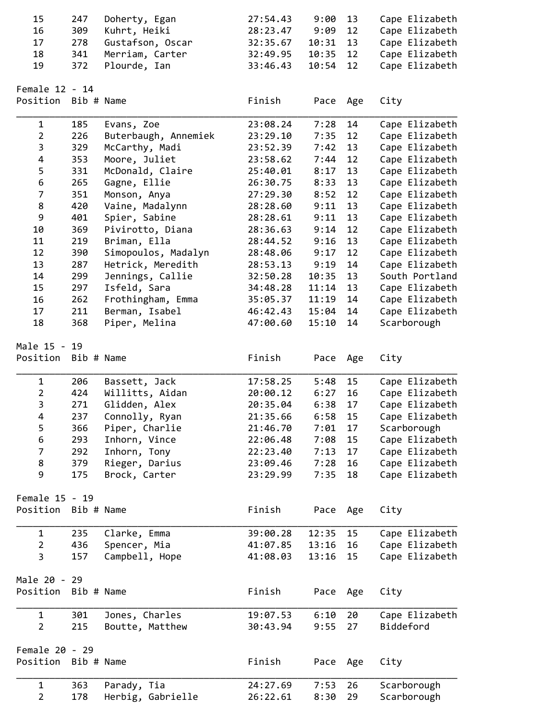| 15<br>16<br>17<br>18<br>19            | 247<br>309<br>278<br>341<br>372 | Doherty, Egan<br>Kuhrt, Heiki<br>Gustafson, Oscar<br>Merriam, Carter<br>Plourde, Ian | 27:54.43<br>28:23.47<br>32:35.67<br>32:49.95<br>33:46.43 | 9:00<br>9:09<br>10:31<br>10:35<br>10:54 | 13<br>12<br>13<br>12<br>12 | Cape Elizabeth<br>Cape Elizabeth<br>Cape Elizabeth<br>Cape Elizabeth<br>Cape Elizabeth |
|---------------------------------------|---------------------------------|--------------------------------------------------------------------------------------|----------------------------------------------------------|-----------------------------------------|----------------------------|----------------------------------------------------------------------------------------|
| Female 12 - 14<br>Position Bib # Name |                                 |                                                                                      | Finish                                                   | Pace                                    | Age                        | City                                                                                   |
| $\mathbf 1$                           | 185                             | Evans, Zoe                                                                           | 23:08.24                                                 | 7:28                                    | 14                         | Cape Elizabeth                                                                         |
| $\overline{2}$                        | 226                             | Buterbaugh, Annemiek                                                                 | 23:29.10                                                 | 7:35                                    | 12                         | Cape Elizabeth                                                                         |
| 3                                     | 329                             | McCarthy, Madi                                                                       | 23:52.39                                                 | 7:42                                    | 13                         | Cape Elizabeth                                                                         |
| 4                                     | 353                             | Moore, Juliet                                                                        | 23:58.62                                                 | 7:44                                    | 12                         | Cape Elizabeth                                                                         |
| 5                                     | 331                             | McDonald, Claire                                                                     | 25:40.01                                                 | 8:17                                    | 13                         | Cape Elizabeth                                                                         |
| 6                                     | 265                             | Gagne, Ellie                                                                         | 26:30.75                                                 | 8:33                                    | 13                         | Cape Elizabeth                                                                         |
| $\overline{7}$                        | 351                             | Monson, Anya                                                                         | 27:29.30                                                 | 8:52                                    | 12                         | Cape Elizabeth                                                                         |
| 8                                     | 420                             | Vaine, Madalynn                                                                      | 28:28.60                                                 | 9:11                                    | 13                         | Cape Elizabeth                                                                         |
| 9                                     | 401                             | Spier, Sabine                                                                        | 28:28.61                                                 | 9:11                                    | 13                         | Cape Elizabeth                                                                         |
| 10                                    | 369                             | Pivirotto, Diana                                                                     | 28:36.63                                                 | 9:14                                    | 12                         | Cape Elizabeth                                                                         |
| 11                                    | 219                             | Briman, Ella                                                                         | 28:44.52                                                 | 9:16                                    | 13                         | Cape Elizabeth                                                                         |
| 12                                    | 390                             | Simopoulos, Madalyn                                                                  | 28:48.06                                                 | 9:17                                    | 12                         | Cape Elizabeth                                                                         |
| 13                                    | 287                             | Hetrick, Meredith                                                                    | 28:53.13                                                 | 9:19                                    | 14                         | Cape Elizabeth                                                                         |
| 14                                    | 299                             | Jennings, Callie                                                                     | 32:50.28                                                 | 10:35                                   | 13                         | South Portland                                                                         |
| 15                                    | 297                             | Isfeld, Sara                                                                         | 34:48.28                                                 | 11:14                                   | 13                         | Cape Elizabeth                                                                         |
| 16                                    | 262                             | Frothingham, Emma                                                                    | 35:05.37                                                 | 11:19                                   | 14                         | Cape Elizabeth                                                                         |
| 17                                    | 211                             | Berman, Isabel                                                                       | 46:42.43                                                 | 15:04                                   | 14                         | Cape Elizabeth                                                                         |
| 18                                    | 368                             | Piper, Melina                                                                        | 47:00.60                                                 | 15:10                                   | 14                         | Scarborough                                                                            |
| Male 15 - 19<br>Position Bib # Name   |                                 |                                                                                      | Finish                                                   |                                         |                            |                                                                                        |
|                                       |                                 |                                                                                      |                                                          | Pace                                    | Age                        | City                                                                                   |
| $\mathbf 1$                           | 206                             | Bassett, Jack                                                                        | 17:58.25                                                 | 5:48                                    | 15                         | Cape Elizabeth                                                                         |
| $\overline{2}$                        | 424                             | Willitts, Aidan                                                                      | 20:00.12                                                 | 6:27                                    | 16                         | Cape Elizabeth                                                                         |
| 3                                     | 271                             | Glidden, Alex                                                                        | 20:35.04                                                 | 6:38                                    | 17                         | Cape Elizabeth                                                                         |
| 4                                     | 237                             | Connolly, Ryan                                                                       | 21:35.66                                                 | 6:58                                    | 15                         | Cape Elizabeth                                                                         |
| 5                                     | 366                             | Piper, Charlie                                                                       | 21:46.70                                                 | 7:01                                    | 17                         | Scarborough                                                                            |
| 6                                     | 293                             | Inhorn, Vince                                                                        | 22:06.48                                                 | 7:08                                    | 15                         | Cape Elizabeth                                                                         |
| $\overline{7}$                        | 292                             | Inhorn, Tony                                                                         | 22:23.40                                                 | 7:13                                    | 17                         | Cape Elizabeth                                                                         |
| 8                                     | 379                             | Rieger, Darius                                                                       | 23:09.46                                                 | 7:28                                    | 16                         | Cape Elizabeth                                                                         |
| 9                                     | 175                             | Brock, Carter                                                                        | 23:29.99                                                 | 7:35                                    | 18                         | Cape Elizabeth                                                                         |
| Female 15 - 19                        |                                 |                                                                                      |                                                          |                                         |                            |                                                                                        |
| Position Bib # Name                   |                                 |                                                                                      | Finish                                                   | Pace                                    | Age                        | City                                                                                   |
| $\mathbf{1}$                          | 235                             | Clarke, Emma                                                                         | 39:00.28                                                 | 12:35                                   | 15                         | Cape Elizabeth                                                                         |
| $\overline{2}$                        | 436                             | Spencer, Mia                                                                         | 41:07.85                                                 | 13:16                                   | 16                         | Cape Elizabeth                                                                         |
| 3                                     | 157                             | Campbell, Hope                                                                       | 41:08.03                                                 | 13:16                                   | 15                         | Cape Elizabeth                                                                         |
| Male 20 - 29                          |                                 |                                                                                      |                                                          |                                         |                            |                                                                                        |
| Position Bib # Name                   |                                 |                                                                                      | Finish                                                   | Pace Age                                |                            | City                                                                                   |
| $\mathbf{1}$                          | 301                             | Jones, Charles                                                                       | 19:07.53                                                 | 6:10                                    | 20                         | Cape Elizabeth                                                                         |
| $\overline{2}$                        | 215                             | Boutte, Matthew                                                                      | 30:43.94                                                 | 9:55                                    | 27                         | Biddeford                                                                              |
| Female 20 - 29                        |                                 |                                                                                      |                                                          |                                         |                            |                                                                                        |
| Position Bib # Name                   |                                 |                                                                                      | Finish                                                   | Pace                                    | Age                        | City                                                                                   |
| 1                                     | 363                             | Parady, Tia                                                                          | 24:27.69                                                 | 7:53                                    | 26                         | Scarborough                                                                            |
| $\overline{2}$                        | 178                             | Herbig, Gabrielle                                                                    | 26:22.61                                                 | 8:30                                    | 29                         | Scarborough                                                                            |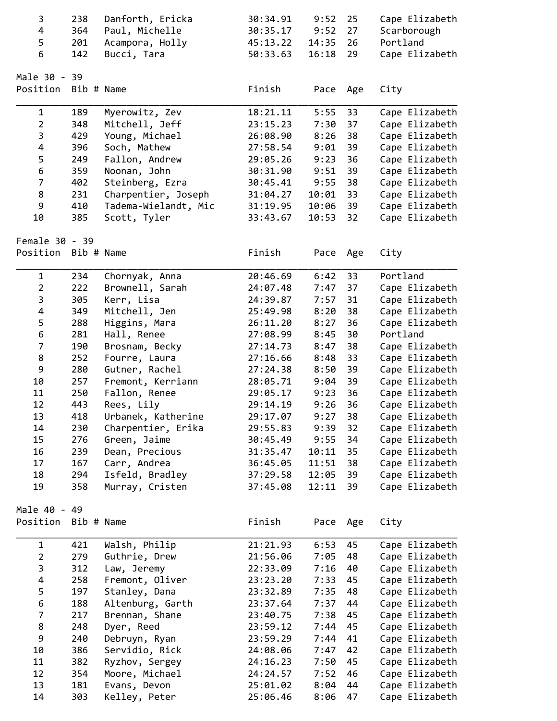| 3                   | 238        | Danforth, Ericka     | 30:34.91 | 9:52     | 25  | Cape Elizabeth |
|---------------------|------------|----------------------|----------|----------|-----|----------------|
| 4                   | 364        | Paul, Michelle       | 30:35.17 | 9:52     | 27  | Scarborough    |
| 5                   | 201        | Acampora, Holly      | 45:13.22 | 14:35    | 26  | Portland       |
| 6                   | 142        | Bucci, Tara          | 50:33.63 | 16:18    | 29  | Cape Elizabeth |
|                     |            |                      |          |          |     |                |
| Male 30 - 39        |            |                      |          |          |     |                |
| Position Bib # Name |            |                      | Finish   | Pace Age |     | City           |
| $\mathbf 1$         | 189        | Myerowitz, Zev       | 18:21.11 | 5:55     | 33  | Cape Elizabeth |
| $\overline{2}$      | 348        | Mitchell, Jeff       | 23:15.23 | 7:30     | 37  | Cape Elizabeth |
| 3                   | 429        | Young, Michael       | 26:08.90 | 8:26     | 38  | Cape Elizabeth |
| 4                   | 396        | Soch, Mathew         | 27:58.54 | 9:01     | 39  | Cape Elizabeth |
| 5                   | 249        | Fallon, Andrew       | 29:05.26 | 9:23     | 36  | Cape Elizabeth |
| 6                   | 359        | Noonan, John         | 30:31.90 | 9:51     | 39  | Cape Elizabeth |
| $\overline{7}$      | 402        | Steinberg, Ezra      | 30:45.41 | 9:55     | 38  | Cape Elizabeth |
| 8                   | 231        | Charpentier, Joseph  | 31:04.27 | 10:01    | 33  | Cape Elizabeth |
| 9                   | 410        | Tadema-Wielandt, Mic | 31:19.95 | 10:06    | 39  | Cape Elizabeth |
| 10                  | 385        | Scott, Tyler         | 33:43.67 | 10:53    | 32  | Cape Elizabeth |
| Female 30 - 39      |            |                      |          |          |     |                |
| Position Bib # Name |            |                      | Finish   | Pace Age |     | City           |
|                     |            |                      |          |          |     |                |
| $\mathbf 1$         | 234        | Chornyak, Anna       | 20:46.69 | 6:42     | 33  | Portland       |
| $\overline{2}$      | 222        | Brownell, Sarah      | 24:07.48 | 7:47     | 37  | Cape Elizabeth |
| 3                   | 305        | Kerr, Lisa           | 24:39.87 | 7:57     | 31  | Cape Elizabeth |
| 4                   | 349        | Mitchell, Jen        | 25:49.98 | 8:20     | 38  | Cape Elizabeth |
| 5                   | 288        | Higgins, Mara        | 26:11.20 | 8:27     | 36  | Cape Elizabeth |
| 6                   | 281        | Hall, Renee          | 27:08.99 | 8:45     | 30  | Portland       |
| $\overline{7}$      | 190        | Brosnam, Becky       | 27:14.73 | 8:47     | 38  | Cape Elizabeth |
| 8                   | 252        | Fourre, Laura        | 27:16.66 | 8:48     | 33  | Cape Elizabeth |
| 9                   | 280        | Gutner, Rachel       | 27:24.38 | 8:50     | 39  | Cape Elizabeth |
| 10                  | 257        | Fremont, Kerriann    | 28:05.71 | 9:04     | 39  | Cape Elizabeth |
| 11                  | 250        | Fallon, Renee        | 29:05.17 | 9:23     | 36  | Cape Elizabeth |
| 12                  | 443        | Rees, Lily           | 29:14.19 | 9:26     | 36  | Cape Elizabeth |
| 13                  | 418        | Urbanek, Katherine   | 29:17.07 | 9:27     | 38  | Cape Elizabeth |
| 14                  | 230        | Charpentier, Erika   | 29:55.83 | 9:39     | 32  | Cape Elizabeth |
| 15                  | 276        | Green, Jaime         | 30:45.49 | 9:55     | 34  | Cape Elizabeth |
| 16                  | 239        | Dean, Precious       | 31:35.47 | 10:11    | 35  | Cape Elizabeth |
| 17                  | 167        | Carr, Andrea         | 36:45.05 | 11:51    | 38  | Cape Elizabeth |
| 18                  | 294        | Isfeld, Bradley      | 37:29.58 | 12:05    | 39  | Cape Elizabeth |
| 19                  | 358        | Murray, Cristen      | 37:45.08 | 12:11    | 39  | Cape Elizabeth |
| Male 40 - 49        |            |                      |          |          |     |                |
| Position            | Bib # Name |                      | Finish   | Pace     | Age | City           |
| $\mathbf 1$         | 421        | Walsh, Philip        | 21:21.93 | 6:53     | 45  | Cape Elizabeth |
| $\overline{2}$      | 279        | Guthrie, Drew        | 21:56.06 | 7:05     | 48  | Cape Elizabeth |
| 3                   | 312        | Law, Jeremy          | 22:33.09 | 7:16     | 40  | Cape Elizabeth |
| 4                   | 258        | Fremont, Oliver      | 23:23.20 | 7:33     | 45  | Cape Elizabeth |
| 5                   | 197        | Stanley, Dana        | 23:32.89 | 7:35     | 48  | Cape Elizabeth |
| 6                   | 188        | Altenburg, Garth     | 23:37.64 | 7:37     | 44  | Cape Elizabeth |
| $\overline{7}$      | 217        | Brennan, Shane       | 23:40.75 | 7:38     | 45  | Cape Elizabeth |
| 8                   | 248        | Dyer, Reed           | 23:59.12 | 7:44     | 45  | Cape Elizabeth |
| 9                   | 240        | Debruyn, Ryan        | 23:59.29 | 7:44     | 41  | Cape Elizabeth |
| 10                  | 386        | Servidio, Rick       | 24:08.06 | 7:47     | 42  | Cape Elizabeth |
| 11                  | 382        | Ryzhov, Sergey       | 24:16.23 | 7:50     | 45  | Cape Elizabeth |
| 12                  | 354        | Moore, Michael       | 24:24.57 | 7:52     | 46  | Cape Elizabeth |
| 13                  | 181        | Evans, Devon         | 25:01.02 | 8:04     | 44  | Cape Elizabeth |
| 14                  | 303        | Kelley, Peter        | 25:06.46 | 8:06     | 47  | Cape Elizabeth |
|                     |            |                      |          |          |     |                |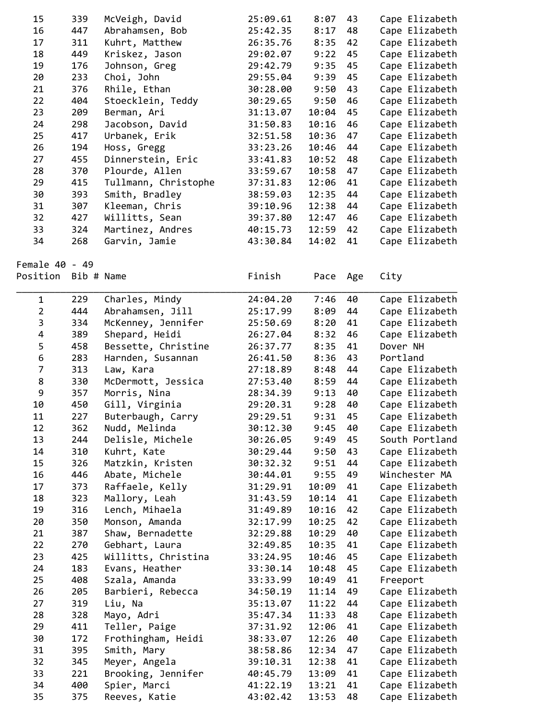| 15                      |            |                      |          |       |     |                |
|-------------------------|------------|----------------------|----------|-------|-----|----------------|
|                         | 339        | McVeigh, David       | 25:09.61 | 8:07  | 43  | Cape Elizabeth |
| 16                      | 447        | Abrahamsen, Bob      | 25:42.35 | 8:17  | 48  | Cape Elizabeth |
| 17                      | 311        | Kuhrt, Matthew       | 26:35.76 | 8:35  | 42  | Cape Elizabeth |
| 18                      | 449        | Kriskez, Jason       | 29:02.07 | 9:22  | 45  | Cape Elizabeth |
| 19                      | 176        | Johnson, Greg        | 29:42.79 | 9:35  | 45  | Cape Elizabeth |
| 20                      | 233        | Choi, John           | 29:55.04 | 9:39  | 45  | Cape Elizabeth |
| 21                      | 376        | Rhile, Ethan         | 30:28.00 | 9:50  | 43  | Cape Elizabeth |
| 22                      | 404        | Stoecklein, Teddy    | 30:29.65 | 9:50  | 46  | Cape Elizabeth |
|                         |            |                      |          |       |     |                |
| 23                      | 209        | Berman, Ari          | 31:13.07 | 10:04 | 45  | Cape Elizabeth |
| 24                      | 298        | Jacobson, David      | 31:50.83 | 10:16 | 46  | Cape Elizabeth |
| 25                      | 417        | Urbanek, Erik        | 32:51.58 | 10:36 | 47  | Cape Elizabeth |
| 26                      | 194        | Hoss, Gregg          | 33:23.26 | 10:46 | 44  | Cape Elizabeth |
| 27                      | 455        | Dinnerstein, Eric    | 33:41.83 | 10:52 | 48  | Cape Elizabeth |
| 28                      | 370        | Plourde, Allen       | 33:59.67 | 10:58 | 47  | Cape Elizabeth |
| 29                      | 415        | Tullmann, Christophe | 37:31.83 | 12:06 | 41  | Cape Elizabeth |
| 30                      | 393        | Smith, Bradley       | 38:59.03 | 12:35 | 44  | Cape Elizabeth |
| 31                      | 307        | Kleeman, Chris       | 39:10.96 | 12:38 | 44  | Cape Elizabeth |
| 32                      | 427        | Willitts, Sean       | 39:37.80 | 12:47 | 46  | Cape Elizabeth |
| 33                      | 324        | Martinez, Andres     | 40:15.73 | 12:59 | 42  | Cape Elizabeth |
| 34                      | 268        | Garvin, Jamie        | 43:30.84 | 14:02 | 41  | Cape Elizabeth |
|                         |            |                      |          |       |     |                |
| Female 40 - 49          |            |                      |          |       |     |                |
|                         |            |                      |          |       |     |                |
| Position                | Bib # Name |                      | Finish   | Pace  | Age | City           |
|                         |            |                      |          |       |     |                |
| $\mathbf{1}$            | 229        | Charles, Mindy       | 24:04.20 | 7:46  | 40  | Cape Elizabeth |
| $\overline{2}$          | 444        | Abrahamsen, Jill     | 25:17.99 | 8:09  | 44  | Cape Elizabeth |
| 3                       | 334        | McKenney, Jennifer   | 25:50.69 | 8:20  | 41  | Cape Elizabeth |
| $\overline{\mathbf{4}}$ | 389        | Shepard, Heidi       | 26:27.04 | 8:32  | 46  | Cape Elizabeth |
| 5                       | 458        | Bessette, Christine  | 26:37.77 | 8:35  | 41  | Dover NH       |
| 6                       | 283        | Harnden, Susannan    | 26:41.50 | 8:36  | 43  | Portland       |
| $\overline{7}$          | 313        | Law, Kara            | 27:18.89 | 8:48  | 44  | Cape Elizabeth |
| 8                       | 330        | McDermott, Jessica   | 27:53.40 | 8:59  | 44  | Cape Elizabeth |
| 9                       | 357        | Morris, Nina         | 28:34.39 | 9:13  | 40  | Cape Elizabeth |
|                         | 450        | Gill, Virginia       | 29:20.31 | 9:28  | 40  | Cape Elizabeth |
|                         |            |                      |          |       | 45  | Cape Elizabeth |
| 10                      |            |                      |          |       |     |                |
| 11                      | 227        | Buterbaugh, Carry    | 29:29.51 | 9:31  |     |                |
| 12                      | 362        | Nudd, Melinda        | 30:12.30 | 9:45  | 40  | Cape Elizabeth |
| 13                      | 244        | Delisle, Michele     | 30:26.05 | 9:49  | 45  | South Portland |
| 14                      | 310        | Kuhrt, Kate          | 30:29.44 | 9:50  | 43  | Cape Elizabeth |
| 15                      | 326        | Matzkin, Kristen     | 30:32.32 | 9:51  | 44  | Cape Elizabeth |
| 16                      | 446        | Abate, Michele       | 30:44.01 | 9:55  | 49  | Winchester MA  |
| 17                      | 373        | Raffaele, Kelly      | 31:29.91 | 10:09 | 41  | Cape Elizabeth |
| 18                      | 323        | Mallory, Leah        | 31:43.59 | 10:14 | 41  | Cape Elizabeth |
| 19                      | 316        | Lench, Mihaela       | 31:49.89 | 10:16 | 42  | Cape Elizabeth |
| 20                      | 350        | Monson, Amanda       | 32:17.99 | 10:25 | 42  | Cape Elizabeth |
| 21                      | 387        | Shaw, Bernadette     | 32:29.88 | 10:29 | 40  | Cape Elizabeth |
| 22                      | 270        | Gebhart, Laura       | 32:49.85 | 10:35 | 41  | Cape Elizabeth |
|                         |            |                      |          |       |     |                |
| 23                      | 425        | Willitts, Christina  | 33:24.95 | 10:46 | 45  | Cape Elizabeth |
| 24                      | 183        | Evans, Heather       | 33:30.14 | 10:48 | 45  | Cape Elizabeth |
| 25                      | 408        | Szala, Amanda        | 33:33.99 | 10:49 | 41  | Freeport       |
| 26                      | 205        | Barbieri, Rebecca    | 34:50.19 | 11:14 | 49  | Cape Elizabeth |
| 27                      | 319        | Liu, Na              | 35:13.07 | 11:22 | 44  | Cape Elizabeth |
| 28                      | 328        | Mayo, Adri           | 35:47.34 | 11:33 | 48  | Cape Elizabeth |
| 29                      | 411        | Teller, Paige        | 37:31.92 | 12:06 | 41  | Cape Elizabeth |
| 30                      | 172        | Frothingham, Heidi   | 38:33.07 | 12:26 | 40  | Cape Elizabeth |
| 31                      | 395        | Smith, Mary          | 38:58.86 | 12:34 | 47  | Cape Elizabeth |
| 32                      | 345        | Meyer, Angela        | 39:10.31 | 12:38 | 41  | Cape Elizabeth |
| 33                      | 221        | Brooking, Jennifer   | 40:45.79 | 13:09 | 41  | Cape Elizabeth |
| 34                      | 400        | Spier, Marci         | 41:22.19 | 13:21 | 41  | Cape Elizabeth |